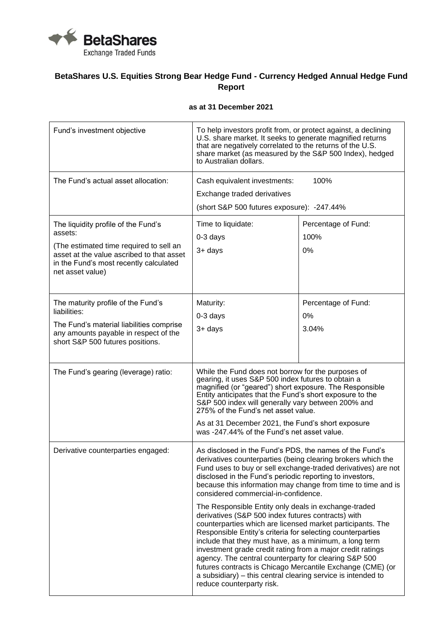

## **BetaShares U.S. Equities Strong Bear Hedge Fund - Currency Hedged Annual Hedge Fund Report**

## **as at 31 December 2021**

| Fund's investment objective                                                                                                                        | To help investors profit from, or protect against, a declining<br>U.S. share market. It seeks to generate magnified returns<br>that are negatively correlated to the returns of the U.S.<br>share market (as measured by the S&P 500 Index), hedged<br>to Australian dollars.                                                                                                                                                                                                                                                                                                                                                                                                                                                                                                                                                                                                                                                                      |                             |
|----------------------------------------------------------------------------------------------------------------------------------------------------|----------------------------------------------------------------------------------------------------------------------------------------------------------------------------------------------------------------------------------------------------------------------------------------------------------------------------------------------------------------------------------------------------------------------------------------------------------------------------------------------------------------------------------------------------------------------------------------------------------------------------------------------------------------------------------------------------------------------------------------------------------------------------------------------------------------------------------------------------------------------------------------------------------------------------------------------------|-----------------------------|
| The Fund's actual asset allocation:                                                                                                                | 100%<br>Cash equivalent investments:<br>Exchange traded derivatives                                                                                                                                                                                                                                                                                                                                                                                                                                                                                                                                                                                                                                                                                                                                                                                                                                                                                |                             |
|                                                                                                                                                    | (short S&P 500 futures exposure): -247.44%                                                                                                                                                                                                                                                                                                                                                                                                                                                                                                                                                                                                                                                                                                                                                                                                                                                                                                         |                             |
| The liquidity profile of the Fund's<br>assets:                                                                                                     | Time to liquidate:<br>$0-3$ days                                                                                                                                                                                                                                                                                                                                                                                                                                                                                                                                                                                                                                                                                                                                                                                                                                                                                                                   | Percentage of Fund:<br>100% |
| (The estimated time required to sell an<br>asset at the value ascribed to that asset<br>in the Fund's most recently calculated<br>net asset value) | 3+ days                                                                                                                                                                                                                                                                                                                                                                                                                                                                                                                                                                                                                                                                                                                                                                                                                                                                                                                                            | 0%                          |
| The maturity profile of the Fund's<br>liabilities:                                                                                                 | Maturity:                                                                                                                                                                                                                                                                                                                                                                                                                                                                                                                                                                                                                                                                                                                                                                                                                                                                                                                                          | Percentage of Fund:         |
|                                                                                                                                                    | $0-3$ days                                                                                                                                                                                                                                                                                                                                                                                                                                                                                                                                                                                                                                                                                                                                                                                                                                                                                                                                         | 0%                          |
| The Fund's material liabilities comprise<br>any amounts payable in respect of the<br>short S&P 500 futures positions.                              | 3+ days                                                                                                                                                                                                                                                                                                                                                                                                                                                                                                                                                                                                                                                                                                                                                                                                                                                                                                                                            | 3.04%                       |
| The Fund's gearing (leverage) ratio:                                                                                                               | While the Fund does not borrow for the purposes of<br>gearing, it uses S&P 500 index futures to obtain a<br>magnified (or "geared") short exposure. The Responsible<br>Entity anticipates that the Fund's short exposure to the<br>S&P 500 index will generally vary between 200% and<br>275% of the Fund's net asset value.                                                                                                                                                                                                                                                                                                                                                                                                                                                                                                                                                                                                                       |                             |
|                                                                                                                                                    | As at 31 December 2021, the Fund's short exposure<br>was -247.44% of the Fund's net asset value.                                                                                                                                                                                                                                                                                                                                                                                                                                                                                                                                                                                                                                                                                                                                                                                                                                                   |                             |
| Derivative counterparties engaged:                                                                                                                 | As disclosed in the Fund's PDS, the names of the Fund's<br>derivatives counterparties (being clearing brokers which the<br>Fund uses to buy or sell exchange-traded derivatives) are not<br>disclosed in the Fund's periodic reporting to investors,<br>because this information may change from time to time and is<br>considered commercial-in-confidence.<br>The Responsible Entity only deals in exchange-traded<br>derivatives (S&P 500 index futures contracts) with<br>counterparties which are licensed market participants. The<br>Responsible Entity's criteria for selecting counterparties<br>include that they must have, as a minimum, a long term<br>investment grade credit rating from a major credit ratings<br>agency. The central counterparty for clearing S&P 500<br>futures contracts is Chicago Mercantile Exchange (CME) (or<br>a subsidiary) – this central clearing service is intended to<br>reduce counterparty risk. |                             |
|                                                                                                                                                    |                                                                                                                                                                                                                                                                                                                                                                                                                                                                                                                                                                                                                                                                                                                                                                                                                                                                                                                                                    |                             |